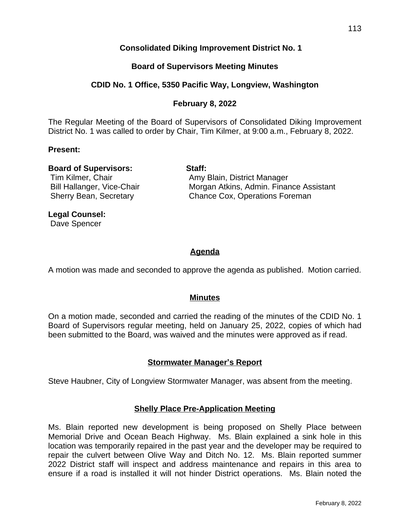# **Consolidated Diking Improvement District No. 1**

# **Board of Supervisors Meeting Minutes**

# **CDID No. 1 Office, 5350 Pacific Way, Longview, Washington**

# **February 8, 2022**

The Regular Meeting of the Board of Supervisors of Consolidated Diking Improvement District No. 1 was called to order by Chair, Tim Kilmer, at 9:00 a.m., February 8, 2022.

## **Present:**

# **Board of Supervisors: Staff:**

Tim Kilmer, Chair **Amy Blain, District Manager** Bill Hallanger, Vice-Chair **Morgan Atkins, Admin. Finance Assistant** Sherry Bean, Secretary **Chance Cox, Operations Foreman** 

**Legal Counsel:** Dave Spencer

# **Agenda**

A motion was made and seconded to approve the agenda as published. Motion carried.

# **Minutes**

On a motion made, seconded and carried the reading of the minutes of the CDID No. 1 Board of Supervisors regular meeting, held on January 25, 2022, copies of which had been submitted to the Board, was waived and the minutes were approved as if read.

# **Stormwater Manager's Report**

Steve Haubner, City of Longview Stormwater Manager, was absent from the meeting.

# **Shelly Place Pre-Application Meeting**

Ms. Blain reported new development is being proposed on Shelly Place between Memorial Drive and Ocean Beach Highway. Ms. Blain explained a sink hole in this location was temporarily repaired in the past year and the developer may be required to repair the culvert between Olive Way and Ditch No. 12. Ms. Blain reported summer 2022 District staff will inspect and address maintenance and repairs in this area to ensure if a road is installed it will not hinder District operations. Ms. Blain noted the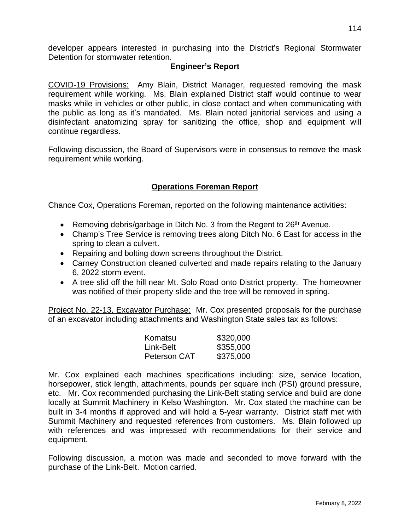developer appears interested in purchasing into the District's Regional Stormwater Detention for stormwater retention.

## **Engineer's Report**

COVID-19 Provisions: Amy Blain, District Manager, requested removing the mask requirement while working. Ms. Blain explained District staff would continue to wear masks while in vehicles or other public, in close contact and when communicating with the public as long as it's mandated. Ms. Blain noted janitorial services and using a disinfectant anatomizing spray for sanitizing the office, shop and equipment will continue regardless.

Following discussion, the Board of Supervisors were in consensus to remove the mask requirement while working.

# **Operations Foreman Report**

Chance Cox, Operations Foreman, reported on the following maintenance activities:

- **•** Removing debris/garbage in Ditch No. 3 from the Regent to  $26<sup>th</sup>$  Avenue.
- Champ's Tree Service is removing trees along Ditch No. 6 East for access in the spring to clean a culvert.
- Repairing and bolting down screens throughout the District.
- Carney Construction cleaned culverted and made repairs relating to the January 6, 2022 storm event.
- A tree slid off the hill near Mt. Solo Road onto District property. The homeowner was notified of their property slide and the tree will be removed in spring.

Project No. 22-13, Excavator Purchase: Mr. Cox presented proposals for the purchase of an excavator including attachments and Washington State sales tax as follows:

| Komatsu      | \$320,000 |
|--------------|-----------|
| Link-Belt    | \$355,000 |
| Peterson CAT | \$375,000 |

Mr. Cox explained each machines specifications including: size, service location, horsepower, stick length, attachments, pounds per square inch (PSI) ground pressure, etc. Mr. Cox recommended purchasing the Link-Belt stating service and build are done locally at Summit Machinery in Kelso Washington. Mr. Cox stated the machine can be built in 3-4 months if approved and will hold a 5-year warranty. District staff met with Summit Machinery and requested references from customers. Ms. Blain followed up with references and was impressed with recommendations for their service and equipment.

Following discussion, a motion was made and seconded to move forward with the purchase of the Link-Belt. Motion carried.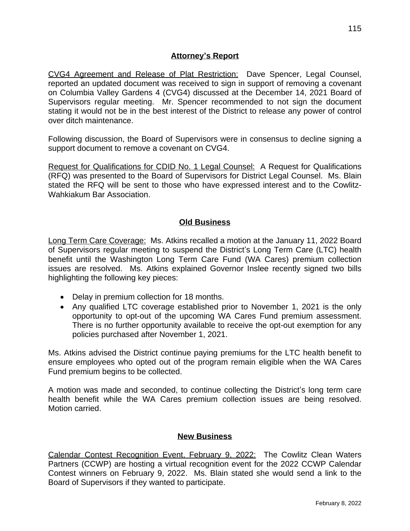# **Attorney's Report**

CVG4 Agreement and Release of Plat Restriction: Dave Spencer, Legal Counsel, reported an updated document was received to sign in support of removing a covenant on Columbia Valley Gardens 4 (CVG4) discussed at the December 14, 2021 Board of Supervisors regular meeting. Mr. Spencer recommended to not sign the document stating it would not be in the best interest of the District to release any power of control over ditch maintenance.

Following discussion, the Board of Supervisors were in consensus to decline signing a support document to remove a covenant on CVG4.

Request for Qualifications for CDID No. 1 Legal Counsel: A Request for Qualifications (RFQ) was presented to the Board of Supervisors for District Legal Counsel. Ms. Blain stated the RFQ will be sent to those who have expressed interest and to the Cowlitz-Wahkiakum Bar Association.

# **Old Business**

Long Term Care Coverage: Ms. Atkins recalled a motion at the January 11, 2022 Board of Supervisors regular meeting to suspend the District's Long Term Care (LTC) health benefit until the Washington Long Term Care Fund (WA Cares) premium collection issues are resolved. Ms. Atkins explained Governor Inslee recently signed two bills highlighting the following key pieces:

- Delay in premium collection for 18 months.
- Any qualified LTC coverage established prior to November 1, 2021 is the only opportunity to opt-out of the upcoming WA Cares Fund premium assessment. There is no further opportunity available to receive the opt-out exemption for any policies purchased after November 1, 2021.

Ms. Atkins advised the District continue paying premiums for the LTC health benefit to ensure employees who opted out of the program remain eligible when the WA Cares Fund premium begins to be collected.

A motion was made and seconded, to continue collecting the District's long term care health benefit while the WA Cares premium collection issues are being resolved. Motion carried.

## **New Business**

Calendar Contest Recognition Event, February 9, 2022: The Cowlitz Clean Waters Partners (CCWP) are hosting a virtual recognition event for the 2022 CCWP Calendar Contest winners on February 9, 2022. Ms. Blain stated she would send a link to the Board of Supervisors if they wanted to participate.